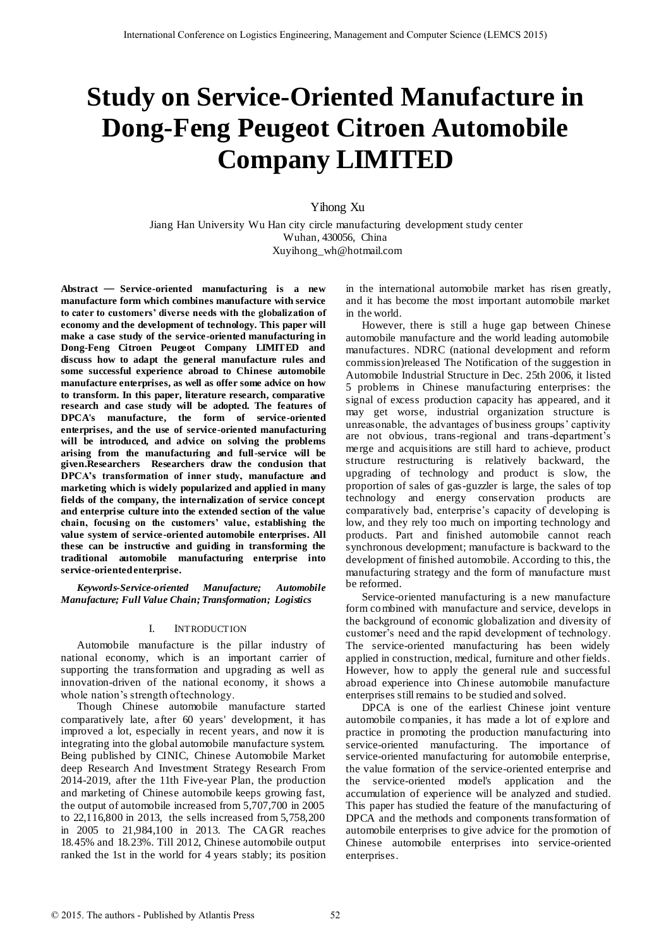# **Study on Service-Oriented Manufacture in Dong-Feng Peugeot Citroen Automobile Company LIMITED**

Yihong Xu

 Jiang Han University Wu Han city circle manufacturing development study center Wuhan, 430056, China Xuyihong\_wh@hotmail.com

**Abstract** — **Service-oriented manufacturing is a new manufacture form which combines manufacture with service to cater to customers' diverse needs with the globalization of economy and the development of technology. This paper will make a case study of the service-oriented manufacturing in Dong-Feng Citroen Peugeot Company LIMITED and discuss how to adapt the general manufacture rules and some successful experience abroad to Chinese automobile manufacture enterprises, as well as offer some advice on how to transform. In this paper, literature research, comparative research and case study will be adopted. The features of DPCA's manufacture, the form of service-oriented enterprises, and the use of service-oriented manufacturing will be introduced, and advice on solving the problems arising from the manufacturing and full-service will be given.Researchers Researchers draw the conclusion that DPCA's transformation of inner study, manufacture and marketing which is widely popularized and applied in many fields of the company, the internalization of service concept and enterprise culture into the extended section of the value chain, focusing on the customers' value, establishing the value system of service-oriented automobile enterprises. All these can be instructive and guiding in transforming the traditional automobile manufacturing enterprise into service-oriented enterprise.**

*Keywords-Service-oriented Manufacture; Automobile Manufacture; Full Value Chain; Transformation; Logistics* 

#### I. INTRODUCTION

Automobile manufacture is the pillar industry of national economy, which is an important carrier of supporting the transformation and upgrading as well as innovation-driven of the national economy, it shows a whole nation's strength of technology.

Though Chinese automobile manufacture started comparatively late, after 60 years' development, it has improved a lot, especially in recent years, and now it is integrating into the global automobile manufacture system. Being published by CINIC, Chinese Automobile Market deep Research And Investment Strategy Research From 2014-2019, after the 11th Five-year Plan, the production and marketing of Chinese automobile keeps growing fast, the output of automobile increased from 5,707,700 in 2005 to 22,116,800 in 2013, the sells increased from 5,758,200 in 2005 to 21,984,100 in 2013. The CAGR reaches 18.45% and 18.23%. Till 2012, Chinese automobile output ranked the 1st in the world for 4 years stably; its position in the international automobile market has risen greatly, and it has become the most important automobile market in the world.

However, there is still a huge gap between Chinese automobile manufacture and the world leading automobile manufactures. NDRC (national development and reform commission)released The Notification of the suggestion in Automobile Industrial Structure in Dec. 25th 2006, it listed 5 problems in Chinese manufacturing enterprises: the signal of excess production capacity has appeared, and it may get worse, industrial organization structure is unreasonable, the advantages of business groups' captivity are not obvious, trans-regional and trans-department"s merge and acquisitions are still hard to achieve, product structure restructuring is relatively backward, the upgrading of technology and product is slow, the proportion of sales of gas-guzzler is large, the sales of top technology and energy conservation products are comparatively bad, enterprise's capacity of developing is low, and they rely too much on importing technology and products. Part and finished automobile cannot reach synchronous development; manufacture is backward to the development of finished automobile. According to this, the manufacturing strategy and the form of manufacture must be reformed.

Service-oriented manufacturing is a new manufacture form combined with manufacture and service, develops in the background of economic globalization and diversity of customer's need and the rapid development of technology. The service-oriented manufacturing has been widely applied in construction, medical, furniture and other fields. However, how to apply the general rule and successful abroad experience into Chinese automobile manufacture enterprises still remains to be studied and solved.

DPCA is one of the earliest Chinese joint venture automobile companies, it has made a lot of explore and practice in promoting the production manufacturing into service-oriented manufacturing. The importance of service-oriented manufacturing for automobile enterprise, the value formation of the service-oriented enterprise and the service-oriented model's application and the accumulation of experience will be analyzed and studied. This paper has studied the feature of the manufacturing of DPCA and the methods and components transformation of automobile enterprises to give advice for the promotion of Chinese automobile enterprises into service-oriented enterprises.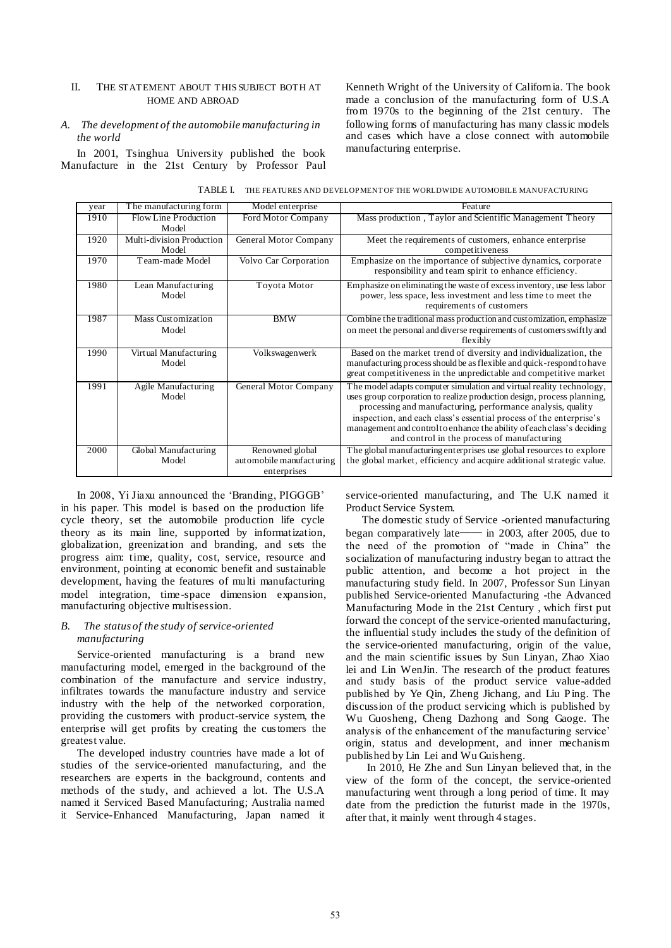#### II. THE STATEMENT ABOUT T HIS SUBJECT BOTH AT HOME AND ABROAD

#### *A. The development of the automobile manufacturing in the world*

In 2001, Tsinghua University published the book Manufacture in the 21st Century by Professor Paul Kenneth Wright of the University of California. The book made a conclusion of the manufacturing form of U.S.A from 1970s to the beginning of the 21st century. The following forms of manufacturing has many classic models and cases which have a close connect with automobile manufacturing enterprise.

| TABLE I. THE FEATURES AND DEVELOPMENT OF THE WORLDWIDE AUTOMOBILE MANUFACTURING |  |
|---------------------------------------------------------------------------------|--|
|---------------------------------------------------------------------------------|--|

| year | The manufacturing form         | Model enterprise                                           | Feature                                                                                                                                                                                                                                                                                                                                                                                                      |  |
|------|--------------------------------|------------------------------------------------------------|--------------------------------------------------------------------------------------------------------------------------------------------------------------------------------------------------------------------------------------------------------------------------------------------------------------------------------------------------------------------------------------------------------------|--|
| 1910 | Flow Line Production           | Ford Motor Company                                         | Mass production, Taylor and Scientific Management Theory                                                                                                                                                                                                                                                                                                                                                     |  |
|      | Model                          |                                                            |                                                                                                                                                                                                                                                                                                                                                                                                              |  |
| 1920 | Multi-division Production      | General Motor Company                                      | Meet the requirements of customers, enhance enterprise                                                                                                                                                                                                                                                                                                                                                       |  |
|      | Model                          |                                                            | competitiveness                                                                                                                                                                                                                                                                                                                                                                                              |  |
| 1970 | Team-made Model                | Volvo Car Corporation                                      | Emphasize on the importance of subjective dynamics, corporate<br>responsibility and team spirit to enhance efficiency.                                                                                                                                                                                                                                                                                       |  |
| 1980 | Lean Manufacturing<br>Model    | Toyota Motor                                               | Emphasize on eliminating the waste of excess inventory, use less labor<br>power, less space, less investment and less time to meet the<br>requirements of customers                                                                                                                                                                                                                                          |  |
| 1987 | Mass Customization<br>Model    | <b>BMW</b>                                                 | Combine the traditional mass production and customization, emphasize<br>on meet the personal and diverse requirements of customers swiftly and<br>flexibly                                                                                                                                                                                                                                                   |  |
| 1990 | Virtual Manufacturing<br>Model | Volkswagenwerk                                             | Based on the market trend of diversity and individualization, the<br>manufacturing process should be as flexible and quick-respond to have<br>great competitiveness in the unpredictable and competitive market                                                                                                                                                                                              |  |
| 1991 | Agile Manufacturing<br>Model   | General Motor Company                                      | The model adapts computer simulation and virtual reality technology,<br>uses group corporation to realize production design, process planning,<br>processing and manufacturing, performance analysis, quality<br>inspection, and each class's essential process of the enterprise's<br>management and control to enhance the ability of each class's deciding<br>and control in the process of manufacturing |  |
| 2000 | Global Manufacturing<br>Model  | Renowned global<br>automobile manufacturing<br>enterprises | The global manufacturing enterprises use global resources to explore<br>the global market, efficiency and acquire additional strategic value.                                                                                                                                                                                                                                                                |  |

In 2008, Yi Jiaxu announced the "Branding, PIGGGB" in his paper. This model is based on the production life cycle theory, set the automobile production life cycle theory as its main line, supported by informatization, globalization, greenization and branding, and sets the progress aim: time, quality, cost, service, resource and environment, pointing at economic benefit and sustainable development, having the features of multi manufacturing model integration, time-space dimension expansion, manufacturing objective multisession.

#### *B. The status of the study of service-oriented manufacturing*

Service-oriented manufacturing is a brand new manufacturing model, emerged in the background of the combination of the manufacture and service industry, infiltrates towards the manufacture industry and service industry with the help of the networked corporation, providing the customers with product-service system, the enterprise will get profits by creating the customers the greatest value.

The developed industry countries have made a lot of studies of the service-oriented manufacturing, and the researchers are experts in the background, contents and methods of the study, and achieved a lot. The U.S.A named it Serviced Based Manufacturing; Australia named it Service-Enhanced Manufacturing, Japan named it

service-oriented manufacturing, and The U.K named it Product Service System.

The domestic study of Service -oriented manufacturing began comparatively late—— in 2003, after 2005, due to the need of the promotion of "made in China" the socialization of manufacturing industry began to attract the public attention, and become a hot project in the manufacturing study field. In 2007, Professor Sun Linyan published Service-oriented Manufacturing -the Advanced Manufacturing Mode in the 21st Century , which first put forward the concept of the service-oriented manufacturing, the influential study includes the study of the definition of the service-oriented manufacturing, origin of the value, and the main scientific issues by Sun Linyan, Zhao Xiao lei and Lin WenJin. The research of the product features and study basis of the product service value-added published by Ye Qin, Zheng Jichang, and Liu Ping. The discussion of the product servicing which is published by Wu Guosheng, Cheng Dazhong and Song Gaoge. The analysis of the enhancement of the manufacturing service" origin, status and development, and inner mechanism published by Lin Lei and Wu Guisheng.

 In 2010, He Zhe and Sun Linyan believed that, in the view of the form of the concept, the service-oriented manufacturing went through a long period of time. It may date from the prediction the futurist made in the 1970s, after that, it mainly went through 4 stages.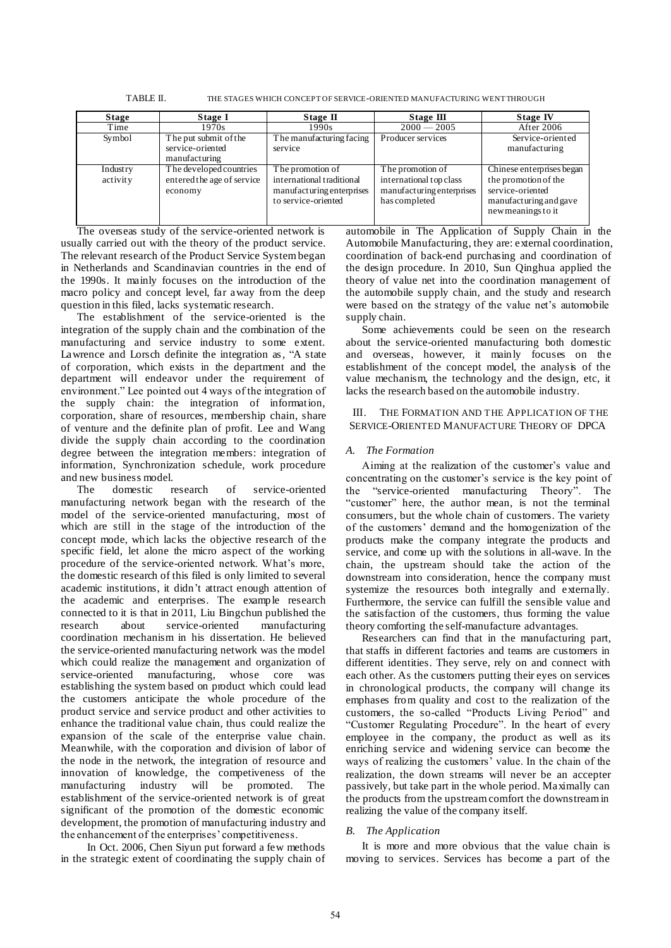| <b>Stage</b>         | Stage I                                                          | Stage II                                                                                          | Stage III                                                                                 | <b>Stage IV</b>                                                                                                       |
|----------------------|------------------------------------------------------------------|---------------------------------------------------------------------------------------------------|-------------------------------------------------------------------------------------------|-----------------------------------------------------------------------------------------------------------------------|
| Time                 | 1970s                                                            | 1990s                                                                                             | $2000 - 2005$                                                                             | After 2006                                                                                                            |
| Symbol               | The put submit of the<br>service-oriented<br>manufacturing       | The manufacturing facing<br>service                                                               | Producer services                                                                         | Service-oriented<br>manufacturing                                                                                     |
| Industry<br>activity | The developed countries<br>entered the age of service<br>economy | The promotion of<br>international traditional<br>manufacturing enterprises<br>to service-oriented | The promotion of<br>international top class<br>manufacturing enterprises<br>has completed | Chinese enterprises began<br>the promotion of the<br>service-oriented<br>manufacturing and gave<br>new meanings to it |

TABLE II. THE STAGES WHICH CONCEPT OF SERVICE-ORIENTED MANUFACTURING WENT THROUGH

The overseas study of the service-oriented network is usually carried out with the theory of the product service. The relevant research of the Product Service System began in Netherlands and Scandinavian countries in the end of the 1990s. It mainly focuses on the introduction of the macro policy and concept level, far away from the deep question in this filed, lacks systematic research.

The establishment of the service-oriented is the integration of the supply chain and the combination of the manufacturing and service industry to some extent. Lawrence and Lorsch definite the integration as , "A state of corporation, which exists in the department and the department will endeavor under the requirement of environment." Lee pointed out 4 ways of the integration of the supply chain: the integration of information, corporation, share of resources, membership chain, share of venture and the definite plan of profit. Lee and Wang divide the supply chain according to the coordination degree between the integration members: integration of information, Synchronization schedule, work procedure and new business model.

The domestic research of service-oriented manufacturing network began with the research of the model of the service-oriented manufacturing, most of which are still in the stage of the introduction of the concept mode, which lacks the objective research of the specific field, let alone the micro aspect of the working procedure of the service-oriented network. What"s more, the domestic research of this filed is only limited to several academic institutions, it didn"t attract enough attention of the academic and enterprises. The example research connected to it is that in 2011, Liu Bingchun published the research about service-oriented manufacturing coordination mechanism in his dissertation. He believed the service-oriented manufacturing network was the model which could realize the management and organization of service-oriented manufacturing, whose core was establishing the system based on product which could lead the customers anticipate the whole procedure of the product service and service product and other activities to enhance the traditional value chain, thus could realize the expansion of the scale of the enterprise value chain. Meanwhile, with the corporation and division of labor of the node in the network, the integration of resource and innovation of knowledge, the competiveness of the manufacturing industry will be promoted. The establishment of the service-oriented network is of great significant of the promotion of the domestic economic development, the promotion of manufacturing industry and the enhancement of the enterprises' competitiveness.

 In Oct. 2006, Chen Siyun put forward a few methods in the strategic extent of coordinating the supply chain of automobile in The Application of Supply Chain in the Automobile Manufacturing, they are: external coordination, coordination of back-end purchasing and coordination of the design procedure. In 2010, Sun Qinghua applied the theory of value net into the coordination management of the automobile supply chain, and the study and research were based on the strategy of the value net's automobile supply chain.

Some achievements could be seen on the research about the service-oriented manufacturing both domestic and overseas, however, it mainly focuses on the establishment of the concept model, the analysis of the value mechanism, the technology and the design, etc, it lacks the research based on the automobile industry.

III. THE FORMATION AND THE APPLICATION OF THE SERVICE-ORIENTED MANUFACTURE THEORY OF DPCA

## *A. The Formation*

Aiming at the realization of the customer"s value and concentrating on the customer's service is the key point of the "service-oriented manufacturing Theory". The "customer" here, the author mean, is not the terminal consumers, but the whole chain of customers. The variety of the customers" demand and the homogenization of the products make the company integrate the products and service, and come up with the solutions in all-wave. In the chain, the upstream should take the action of the downstream into consideration, hence the company must systemize the resources both integrally and externally. Furthermore, the service can fulfill the sensible value and the satisfaction of the customers, thus forming the value theory comforting the self-manufacture advantages.

Researchers can find that in the manufacturing part, that staffs in different factories and teams are customers in different identities. They serve, rely on and connect with each other. As the customers putting their eyes on services in chronological products, the company will change its emphases from quality and cost to the realization of the customers, the so-called "Products Living Period" and "Customer Regulating Procedure". In the heart of every employee in the company, the product as well as its enriching service and widening service can become the ways of realizing the customers' value. In the chain of the realization, the down streams will never be an accepter passively, but take part in the whole period. Maximally can the products from the upstream comfort the downstream in realizing the value of the company itself.

## *B. The Application*

It is more and more obvious that the value chain is moving to services. Services has become a part of the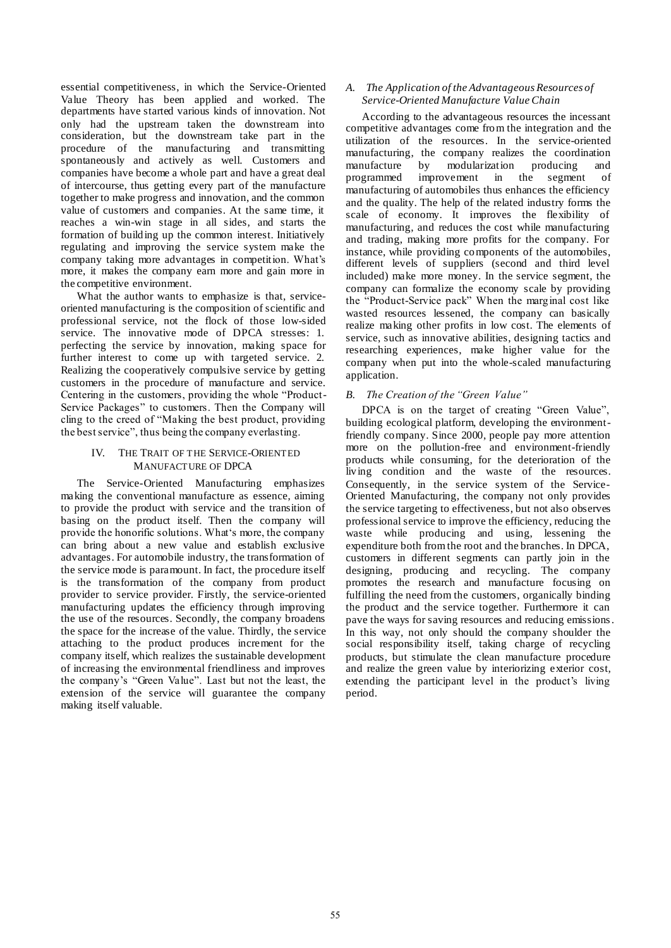essential competitiveness, in which the Service-Oriented Value Theory has been applied and worked. The departments have started various kinds of innovation. Not only had the upstream taken the downstream into consideration, but the downstream take part in the procedure of the manufacturing and transmitting spontaneously and actively as well. Customers and companies have become a whole part and have a great deal of intercourse, thus getting every part of the manufacture together to make progress and innovation, and the common value of customers and companies. At the same time, it reaches a win-win stage in all sides, and starts the formation of building up the common interest. Initiatively regulating and improving the service system make the company taking more advantages in competition. What"s more, it makes the company earn more and gain more in the competitive environment.

What the author wants to emphasize is that, serviceoriented manufacturing is the composition of scientific and professional service, not the flock of those low-sided service. The innovative mode of DPCA stresses: 1. perfecting the service by innovation, making space for further interest to come up with targeted service. 2. Realizing the cooperatively compulsive service by getting customers in the procedure of manufacture and service. Centering in the customers, providing the whole "Product-Service Packages" to customers. Then the Company will cling to the creed of "Making the best product, providing the best service", thus being the company everlasting.

#### IV. THE TRAIT OF THE SERVICE-ORIENTED MANUFACTURE OF DPCA

The Service-Oriented Manufacturing emphasizes making the conventional manufacture as essence, aiming to provide the product with service and the transition of basing on the product itself. Then the company will provide the honorific solutions. What's more, the company can bring about a new value and establish exclusive advantages. For automobile industry, the transformation of the service mode is paramount. In fact, the procedure itself is the transformation of the company from product provider to service provider. Firstly, the service-oriented manufacturing updates the efficiency through improving the use of the resources. Secondly, the company broadens the space for the increase of the value. Thirdly, the service attaching to the product produces increment for the company itself, which realizes the sustainable development of increasing the environmental friendliness and improves the company"s "Green Value". Last but not the least, the extension of the service will guarantee the company making itself valuable.

## *A. The Application of the Advantageous Resources of Service-Oriented Manufacture Value Chain*

According to the advantageous resources the incessant competitive advantages come from the integration and the utilization of the resources. In the service-oriented manufacturing, the company realizes the coordination<br>manufacture by modularization producing and manufacture by modularization producing and<br>programmed improvement in the segment of  $improvement$  in the segment manufacturing of automobiles thus enhances the efficiency and the quality. The help of the related industry forms the scale of economy. It improves the flexibility of manufacturing, and reduces the cost while manufacturing and trading, making more profits for the company. For instance, while providing components of the automobiles, different levels of suppliers (second and third level included) make more money. In the service segment, the company can formalize the economy scale by providing the "Product-Service pack" When the marginal cost like wasted resources lessened, the company can basically realize making other profits in low cost. The elements of service, such as innovative abilities, designing tactics and researching experiences, make higher value for the company when put into the whole-scaled manufacturing application.

## *B. The Creation of the "Green Value"*

DPCA is on the target of creating "Green Value", building ecological platform, developing the environmentfriendly company. Since 2000, people pay more attention more on the pollution-free and environment-friendly products while consuming, for the deterioration of the living condition and the waste of the resources. Consequently, in the service system of the Service-Oriented Manufacturing, the company not only provides the service targeting to effectiveness, but not also observes professional service to improve the efficiency, reducing the waste while producing and using, lessening the expenditure both from the root and the branches. In DPCA, customers in different segments can partly join in the designing, producing and recycling. The company promotes the research and manufacture focusing on fulfilling the need from the customers, organically binding the product and the service together. Furthermore it can pave the ways for saving resources and reducing emissions. In this way, not only should the company shoulder the social responsibility itself, taking charge of recycling products, but stimulate the clean manufacture procedure and realize the green value by interiorizing exterior cost, extending the participant level in the product's living period.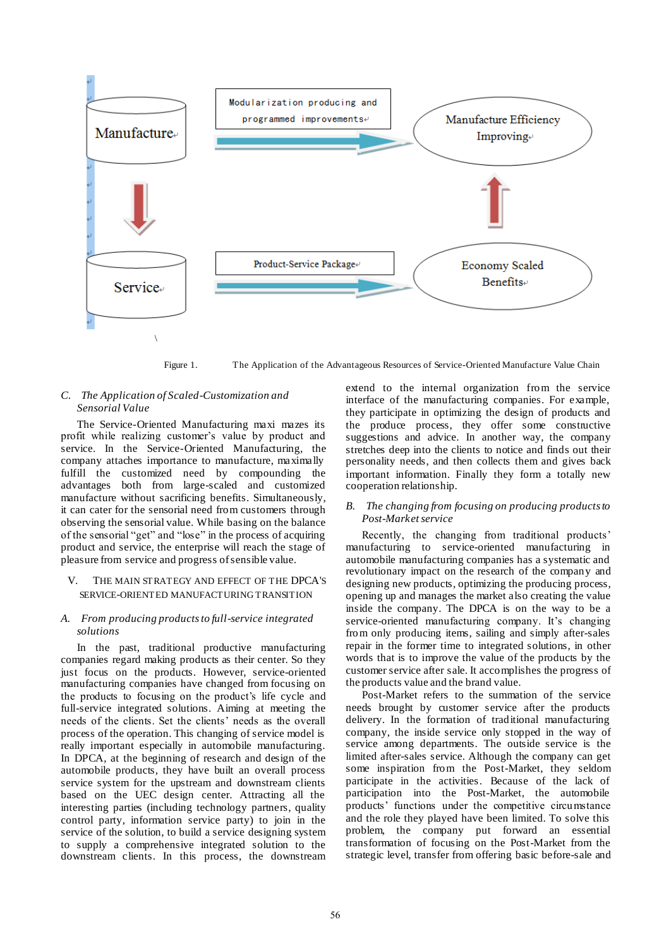

Figure 1. The Application of the Advantageous Resources of Service-Oriented Manufacture Value Chain

#### *C. The Application of Scaled-Customization and Sensorial Value*

The Service-Oriented Manufacturing maxi mazes its profit while realizing customer"s value by product and service. In the Service-Oriented Manufacturing, the company attaches importance to manufacture, maximally fulfill the customized need by compounding the advantages both from large-scaled and customized manufacture without sacrificing benefits. Simultaneously, it can cater for the sensorial need from customers through observing the sensorial value. While basing on the balance of the sensorial "get" and "lose" in the process of acquiring product and service, the enterprise will reach the stage of pleasure from service and progress of sensible value.

#### V. THE MAIN STRATEGY AND EFFECT OF THE DPCA'S SERVICE-ORIENTED MANUFACTURING TRANSITION

#### *A. From producing products to full-service integrated solutions*

In the past, traditional productive manufacturing companies regard making products as their center. So they just focus on the products. However, service-oriented manufacturing companies have changed from focusing on the products to focusing on the product's life cycle and full-service integrated solutions. Aiming at meeting the needs of the clients. Set the clients' needs as the overall process of the operation. This changing of service model is really important especially in automobile manufacturing. In DPCA, at the beginning of research and design of the automobile products, they have built an overall process service system for the upstream and downstream clients based on the UEC design center. Attracting all the interesting parties (including technology partners, quality control party, information service party) to join in the service of the solution, to build a service designing system to supply a comprehensive integrated solution to the downstream clients. In this process, the downstream

extend to the internal organization from the service interface of the manufacturing companies. For example, they participate in optimizing the design of products and the produce process, they offer some constructive suggestions and advice. In another way, the company stretches deep into the clients to notice and finds out their personality needs, and then collects them and gives back important information. Finally they form a totally new cooperation relationship.

#### *B. The changing from focusing on producing products to Post-Market service*

Recently, the changing from traditional products' manufacturing to service-oriented manufacturing in automobile manufacturing companies has a systematic and revolutionary impact on the research of the company and designing new products, optimizing the producing process, opening up and manages the market also creating the value inside the company. The DPCA is on the way to be a service-oriented manufacturing company. It's changing from only producing items, sailing and simply after-sales repair in the former time to integrated solutions, in other words that is to improve the value of the products by the customer service after sale. It accomplishes the progress of the products value and the brand value.

Post-Market refers to the summation of the service needs brought by customer service after the products delivery. In the formation of traditional manufacturing company, the inside service only stopped in the way of service among departments. The outside service is the limited after-sales service. Although the company can get some inspiration from the Post-Market, they seldom participate in the activities. Because of the lack of participation into the Post-Market, the automobile products" functions under the competitive circumstance and the role they played have been limited. To solve this problem, the company put forward an essential transformation of focusing on the Post-Market from the strategic level, transfer from offering basic before-sale and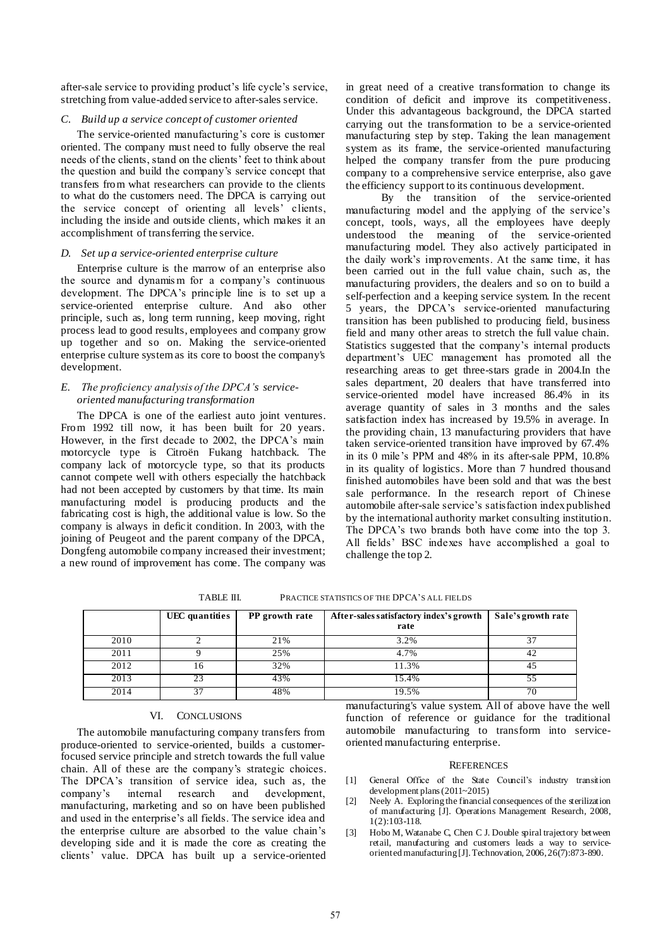after-sale service to providing product's life cycle's service, stretching from value-added service to after-sales service.

#### *C. Build up a service concept of customer oriented*

The service-oriented manufacturing's core is customer oriented. The company must need to fully observe the real needs of the clients, stand on the clients' feet to think about the question and build the company"s service concept that transfers from what researchers can provide to the clients to what do the customers need. The DPCA is carrying out the service concept of orienting all levels" clients, including the inside and outside clients, which makes it an accomplishment of transferring the service.

#### *D. Set up a service-oriented enterprise culture*

Enterprise culture is the marrow of an enterprise also the source and dynamis m for a company"s continuous development. The DPCA"s principle line is to set up a service-oriented enterprise culture. And also other principle, such as, long term running, keep moving, right process lead to good results, employees and company grow up together and so on. Making the service-oriented enterprise culture system as its core to boost the company's development.

#### *E. The proficiency analysis of the DPCA's serviceoriented manufacturing transformation*

The DPCA is one of the earliest auto joint ventures. From 1992 till now, it has been built for 20 years. However, in the first decade to 2002, the DPCA's main motorcycle type is Citroën Fukang hatchback. The company lack of motorcycle type, so that its products cannot compete well with others especially the hatchback had not been accepted by customers by that time. Its main manufacturing model is producing products and the fabricating cost is high, the additional value is low. So the company is always in deficit condition. In 2003, with the joining of Peugeot and the parent company of the DPCA, Dongfeng automobile company increased their investment; a new round of improvement has come. The company was

in great need of a creative transformation to change its condition of deficit and improve its competitiveness. Under this advantageous background, the DPCA started carrying out the transformation to be a service-oriented manufacturing step by step. Taking the lean management system as its frame, the service-oriented manufacturing helped the company transfer from the pure producing company to a comprehensive service enterprise, also gave the efficiency support to its continuous development.

 By the transition of the service-oriented manufacturing model and the applying of the service's concept, tools, ways, all the employees have deeply understood the meaning of the service-oriented manufacturing model. They also actively participated in the daily work"s improvements. At the same time, it has been carried out in the full value chain, such as, the manufacturing providers, the dealers and so on to build a self-perfection and a keeping service system. In the recent 5 years, the DPCA"s service-oriented manufacturing transition has been published to producing field, business field and many other areas to stretch the full value chain. Statistics suggested that the company"s internal products department"s UEC management has promoted all the researching areas to get three-stars grade in 2004.In the sales department, 20 dealers that have transferred into service-oriented model have increased 86.4% in its average quantity of sales in 3 months and the sales satisfaction index has increased by 19.5% in average. In the providing chain, 13 manufacturing providers that have taken service-oriented transition have improved by 67.4% in its 0 mile"s PPM and 48% in its after-sale PPM, 10.8% in its quality of logistics. More than 7 hundred thousand finished automobiles have been sold and that was the best sale performance. In the research report of Chinese automobile after-sale service"s satisfaction index published by the international authority market consulting institution. The DPCA's two brands both have come into the top 3. All fields" BSC indexes have accomplished a goal to challenge the top 2.

TABLE III. PRACTICE STATISTICS OF THE DPCA"S ALL FIELDS

|      | UEC quantities | PP growth rate | After-sales satisfactory index's growth<br>rate | Sale's growth rate |
|------|----------------|----------------|-------------------------------------------------|--------------------|
| 2010 |                | 21%            | 3.2%                                            |                    |
| 2011 |                | 25%            | 4.7%                                            | 42                 |
| 2012 | 16             | 32%            | 11.3%                                           | 45                 |
| 2013 | フィ             | 43%            | 15.4%                                           | 55                 |
| 2014 | 37             | 48%            | 19.5%                                           | 70                 |

#### VI. CONCLUSIONS

The automobile manufacturing company transfers from produce-oriented to service-oriented, builds a customerfocused service principle and stretch towards the full value chain. All of these are the company"s strategic choices. The DPCA's transition of service idea, such as, the company"s internal research and development, manufacturing, marketing and so on have been published and used in the enterprise"s all fields. The service idea and the enterprise culture are absorbed to the value chain"s developing side and it is made the core as creating the clients" value. DPCA has built up a service-oriented

manufacturing's value system. All of above have the well function of reference or guidance for the traditional automobile manufacturing to transform into serviceoriented manufacturing enterprise.

#### **REFERENCES**

- [1] General Office of the State Council"s industry transition development plans (2011~2015)
- [2] Neely A. Exploring the financial consequences of the sterilization of manufacturing [J]. Operations Management Research, 2008, 1(2):103-118.
- [3] Hobo M, Watanabe C, Chen C J. Double spiral trajectory between retail, manufacturing and customers leads a way to serviceorientedmanufacturing [J]. Technovation, 2006, 26(7):873-890.